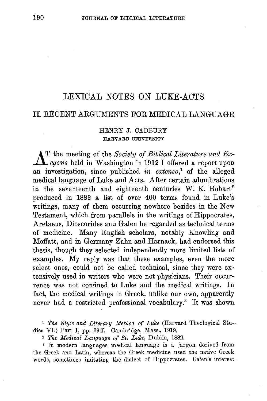## LEXICAL NOTES ON LUKE-ACTS

## II. RECENT ARGUMENTS FOR MEDICAL LANGUAGE

## HENRY J. CADBURY HARVARD UNIVERSITY

 $\triangle$  T the meeting of the *Society of Biblical Literature and Ex-* $\Delta$  egesis held in Washington in 1912 I offered a report upon an investigation, since published *in extenso*,<sup>1</sup> of the alleged medical language of Luke and Acts. After certain adumbrations in the seventeenth and eighteenth centuries  $W$ . K. Hobart<sup>2</sup> produced in 1882 a list of over 400 terms found in Luke's writings, many of them occurring nowhere besides in the New Testament, which from parallels in the writings of Hippocrates, Aretaeus, Dioscorides and Galen he regarded as technical terms of medicine. Many English scholars, notably Knowling and Moffatt, and in Germany Zahn and Harnack, had endorsed this thesis, though they selected independently more limited lists of examples. My reply was that these examples, even the more select ones, could not be called technical, since they were extensively used in writers who were not physicians. Their occur- rence was not confined to Luke and the medical writings. In fact, the medical writings in Greek, unlike our own, apparently never had a restricted professional vocabulary.<sup>3</sup> It was shown

<sup>1</sup>*The Style and Literary Method of Luke* (Harvard Theological Stu- dies VI.) Part I, pp. 39ff. Cambridge, Mass., 1919.

<sup>2</sup>*The Medical Language of St. Luke,* Dublin, 1882.

<sup>3</sup>In modern languages medical language is a jargon derived from the Greek and Latin, whereas the Greek medicine used the native Greek words, sometimes imitating the dialect of Hippocrates. Galen's interest.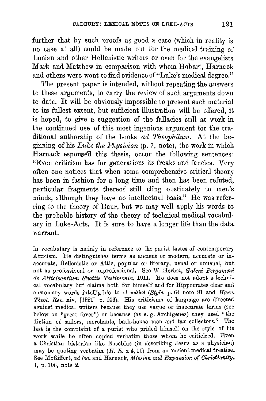further that by such proofs as good a case (which in reality is no case at all) could be made out for the medical training of Lucian and other Hellenistic writers or even for the evangelists Mark and Matthew in comparison with whom Hobart, Harnack and others were wont to find evidence of "Luke's medical degree."

The present paper is intended, without repeating the answers to these arguments, to carry the review of such arguments down to date. It will be obviously impossible to present such material to its fullest extent, but sufficient illustration will be offered, it is hoped, to give a suggestion of the fallacies still at work in the continued use of this most ingenious argument for the traditional authorship of the books *ad Theophilum.* At the beginning of his *Luke the Physician* (p. 7, note), the work in which Harnack espouse'd this thesis, occur the following sentences: "Even criticism has for generations its freaks and fancies. Very often one notices that when some comprehensive critical theory has been in fashion for a long time and then has been refuted, particular fragments thereof still cling obstinately to men's minds, although they have no intellectual basis." He was referring to the theory of Baur, but we may well apply his words to the probable history of the theory of technical medical vocabulary in Luke-Acts. It is sure to have a longer life than the data. warrant.

in vocabulary *is* mainly *in* reference to the purist tastes of contemporary Atticism. He distinguishes terms as ancient or modern, accurate or inaccurate, Hellenistic or Attic, popular or literary, usual or unusual, but not as professional or unprofessional, See W. Herbst, *Galeni Pergameni de .Atticisantium Studiis Testimonia,* 1911. He does not adopt a technical vocabulary but claims both for himself and for Hippocrates clear and customary words intelligible to oi  $\pi$ o $\lambda$ ol (Style, p. 64 note 91 and *Harv*. *Theol. Rev.* xiv, [1921] p. 106). His criticisms of language are directed against medical writers because they use vague or inaccurate terms (see below on "great fever") or because (as e. g. Archigenes) they used "the diction of sailors, merchants, bath-house men and tax collectors." The last is the complaint of a purist who prided himself on the style of his work while he often copied verbatim those whom he criticized. Even a Christian historian like Eusebius (in describing Jesus as a physician) may be quoting verbatim  $(H. E. x 4, 11)$  from an ancient medical treatise. See McGiffert, *ad loc.* and Harnack, *Mission and Expansion of Christianity,*  I, p. 106, note 2.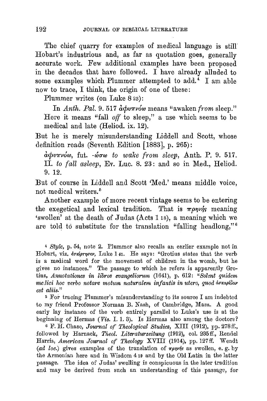The chief quarry for examples of medical language is still Hobart's industrious and, as far as quotation goes, generally accurate work. Few additional examples have been proposed in the decades that have followed. I have already alluded to some examples which Plummer attempted to add.<sup>4</sup> I am able now to trace, I think, the origin of one of these:

Plummer writes (on Luke 8 23):

In *Anth. Pal.* 9. 517  $d\phi$ *vrvow* means "awaken *from* sleep." Here it means "fall *off* to sleep," a use which seems to be medical and late (Heliod. ix. 12).

But he is merely misunderstanding Liddell and Scott, whose definition reads (Seventh Edition [1883], p. 265):

 $\dot{a}$ *pvrvow*, fut. - $\dot{\omega}$ *r* $\omega$  to wake from sleep, Anth. P. 9. 517. II. *to fall asleep,* Ev. Luc. 8. 23: and so in Med., Heliod. 9. 12.

But of course in Liddell and Scott 'Med.' means middle voice, not medical writers.<sup>5</sup>

Another example of more recent vintage seems to be entering the exegetical and lexical tradition. That is  $\pi \rho \gamma \gamma' \gamma$  meaning 'swollen' at the death of Judas (Acts 1 18), a meaning which we are told to substitute for the translation "falling headlong,"<sup>6</sup>

<sup>4</sup>*Style,* p. 54, note 2. Plummer also recalls an earlier example not in Hobart, viz. erklerneer, Luke 141. He says: "Grotius states that the verb is a medical word for the movement of children in the womb, but he gives no instances." The passage to which he refers is apparently Grotius, *Annotationes in libros evangeliorum* (1641), p. 612: *"Solent qnidem melici hoc verbo notare motum naturalem infantis in utero, quod do raplicu est aliis."* 

5 For tracing Plummer's misunderstanding to its source I am indebted to my friend Professor Norman B. Nash, of Cambridge, Mass. A good early lay instance of the verb entirely parallel to Luke's use is at the beginning of Hermas *(Vis.* I. I. 3). Is Hermas also among the doctors?

<sup>6</sup>F. H. Chase, *Journal of' Theological Studies,* XIII (1912), pp. 278ff., followed by Harnack, *Theol. Literaturzeitung* (1912), col. 235ff., Rendel Harris, *American Journal of' Theology* XVIII (1914), pp. 127ff. Wendt (ad loc.) gives examples of the translation of  $\pi\rho\eta\gamma\gamma s$  as swollen, e. g. by the Armenian here and in Wisdom 4 19 and by the Old Latin in the latter passage. The idea of Judas' swelling is conspicuous in the later tradition and may be derived from such an understanding of this passage, for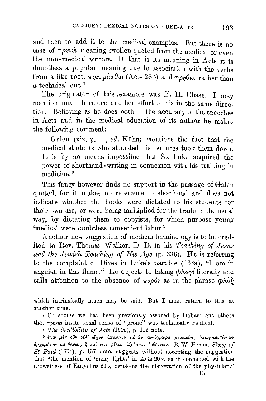and then to add it to the medical examples. But there is no case of  $\pi \rho \eta \nu \dot{n}$  meaning swollen quoted from the medical or even the non- medical writers. If that is its meaning in Acts it is doubtless a popular meaning due to association with the verbs from a like root,  $\pi \mu \pi \rho \hat{a} \sigma \theta a \mu$  (Acts 28 6) and  $\pi \rho \hat{\theta} \omega$ , rather than a technical one.<sup>7</sup>

The originator of this example was F. H. Chase. I may mention next therefore another effort of his in the same direction. Believing as he does both in the accuracy of the speeches in Acts and in the medical education of its author he makes the following comment:

Galen (xix, p. ll, *ed.* Kiihn) mentions the fact that the medical students who attended his lectures took them down. It is by no means impossible that St. Luke acquired the power of shorthand-writing in connexion with his training in medicine.<sup>8</sup>

This fancy however finds no support in the passage of Galen quoted, for it makes no reference to shorthand and does not indicate whether the books were dictated to his students for their own use, or were being multiplied for the trade in the usual way, by dictating them to copyists, for which purpose young 'medics' were doubtless convenient labor.<sup>9</sup>

Another new suggestion of medical terminology is to be credited to Rev. Thomas Walker, D. D. in his *Teaching of Jesus .and the Jewish Teaching of His Age* (p. 336). He is referring to the complaint of Dives in Luke's parable (16 24), "I am in anguish in this flame." He objects to taking  $\phi \lambda o \gamma l$  literally and calls attention to the absence of  $\pi\nu\rho\acute{o}s$  as in the phrase  $\phi\lambda\grave{o}\xi$ 

which intrinsically much may be said. But I must return to this at another time.

<sup>7</sup>Of course we had been previously assured by Hobart and others that  $\pi\rho\eta\nu\eta s$  in, its usual sense of "prone" was technically medical.

s *The Oredibility of Acts* (1902), p. 112 note.

9 έγω μέν ούν ούδ' είχον απάντων αύτων αντίγραφα μειρακίοιs υπαγορευθέντων  $i$ ρχομένοιs μανθάνειν, ή καί τισι φίλοιs αξιώσασι δοθέντων. B. W. Bacon, *Story of St. Paul* (1904), p. 157 note, suggests without accepting the suggestion that "the mention of 'many lights' in Acts 20 s, as if connected with the ·drowsiness of Eutychus 20 9, betokens the observation of the physician."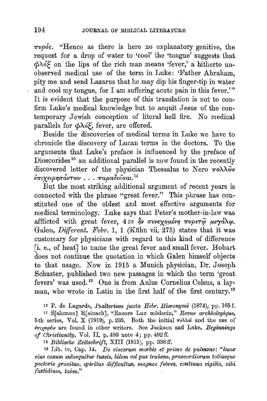*7rup6r;.* "Hence as there is here no explanatory genitive, the request for a drop of water to 'cool' the 'tongue' suggests that  $\phi\lambda\phi\zeta$  on the lips of the rich man means 'fever,' a hitherto unobserved medical use of the term in Luke: 'Father Abraham, pity me and send Lazarus that he may dip his finger-tip in water and cool my tongue, for I am suffering acute pain in this fever."" It is evident that the purpose of this translation is not to confirm Luke's medical knowledge but to acquit Jesus of the contemporary Jewish conception of literal hell fire. No medical parallels for  $\phi\lambda\phi\xi$ , fever, are offered.

Beside the discoveries of medical terms in Luke we have to chronicle the discovery of Lucan terms in the doctors. To the arguments that Luke's preface is influenced by the preface of Dioscorides<sup>10</sup> an additional parallel is now found in the recently discovered letter of the physician Thessalus to Nero  $\pi \circ \lambda \lambda \omega$  $\epsilon \pi$ ιχειρησάντων . . . παραδούναι.<sup>11</sup>

But the most striking additional argument of recent years is connected with the phrase "great fever." This phrase has constituted one of the oldest and most effective arguments for medical terminology. Luke says that Peter's mother-in-law was afflicted with great fever, 438 *ην συνεχομένη πυρετώ μεγάλω*. Galen, *Different. Febr.* 1, 1 (Kiihn vii. 275) states that it was customary for physicians with regard to this kind of difference [i. e., of heat] to name the great fever and small fever. Hobart does not continue the quotation in which Galen himself objects to that usage. Now in 1915 a Munich physician, Dr. Joseph Schuster, published two new passages in which the term 'great fevers' was used.<sup>12</sup> One is from Aulus Cornelius Celsus, a layman, who wrote in Latin in the first half of the first century.<sup>13</sup>

10 P. de Lagarde, *Psalteriztm juxta Hebr. Hieronymi* (1874), pp. 165 f.

<sup>11</sup> S[alomon] R[einach], "Encore Luc médecin," *Revue archéologique*, 5th series, Vol. X (1919), p. 235. Both the initial  $\pi$ o $\lambda$ ot and the use of *imxe•pew* are found in other writers. See Jackson and Lake, *Beginnings of Christianity,* Vol. II, p. 490 note 4; pp. 492ff.

l2 *Biblische Zeitschrijt,* XIII (1915), pp. 338 ff.

13 Lib. iv, Cap. 14. *De viscerum mm·bis et prima de pulmone: "hum: eius casum subsequitur t11Ssis, bilem vel pus trahens, praecordiorum totiusque pectoris gravitas, spiritus difficuttas, magnae febres, continua vigilia, cibi fastidium, tabes."*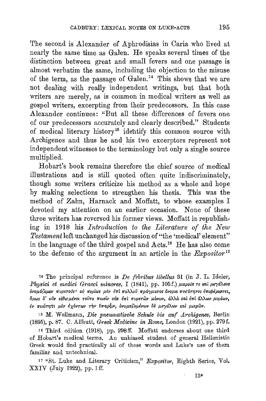The second is Alexander of Aphrodisias in Caria who lived at nearly the same time as Galen. He speaks several times of the distinction between great and small fevers and one passage is almost verbatim the same, including the objection to the misuse of the term, as the passage of Galen. 14 This shows that we are not dealing with really independent writings, but that both writers are merely, as is common in medical writers as well as gospel writers, excerpting from their predecessors. In this case Alexander continues: "But all these differences of fevers one of our predecessors accurately and clearly described." Students of medical literary history<sup>15</sup> identify this common source with Archigenes and thus he and his two excerptors represent not independent witnesses to the terminology but only a single source multiplied.

Hobart's book remains therefore the chief source of medical illustrations and is still quoted often quite indiscriminately, though some writers criticize his method as a whole and hope by making selections to strengthen his thesis. This was the method of Zahn, Harnack and Moffatt, to whose examples I devoted my attention on an earlier occasion. None of these three writers has reversed his former views. Moffatt in republishing in 1918 his *Introduction to the Literature of the New Testament* left unchanged his discussion of "the 'medical' element" in the language of the third gospel and Acts.16 He has also come to the defense of the argument in an article in the  $Exposition^{17}$ 

<sup>14</sup>The principal reference is *De febribus libellus* 31 (in J. L. Ideler, *Physici et medici Graeci minores, Ι (1841), pp. 105f.) μικρούς τε και μεγάλους* dvoμάζομεν πυρετούς ού κυρίως μέν έπι πολλού πράγματος όνομα ποσότητος έπιφέροντες, /Jp.ws o' OUP elOtrrp.EPOL TOVTO 'II'OLeiv OOK t'll'l '11'Up€TWP p.6vwv, dXM. Kal E'll'lli.XXwv p.uplwv, εν ποιότητι μεν εχόντων την ϋπαρξιν, ονομαζομένων δε μεγάλων και μικρών.

15 M. Wellmann, *Die pneumatische Schule bis au{ A1•chigenes,* Berlin (1895), p. 87. 0. Allbutt, *Greelc Medicine in Rome,* London (1921), pp. 279f.

<sup>16</sup> Third edition (1918), pp. 298ff. Moffatt endorses about one third of Hobart's medical terms. An unbiased student of general Hellenistic Greek would find practically all of these words and Luke's use of them familiar and untechnica!.

17 "St. Luke and Literary Criticism," *Expositor,* Eighth Series, Vol. XXIV (July 1922), pp. Iff.

13\*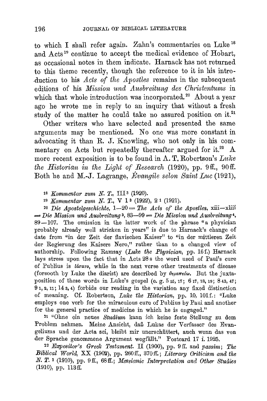to which I shall refer again. Zahn's commentaries on Luke 18 and Acts 19 continue to accept the medical evidence of Hobart, as occasional notes in them indicate. Harnack has not returned to this theme recently, though the reference to it in his intro- .duction to his *Acts of the Apostles* remains in the subsequent editions of his *Mission und Ausbreitung des Christentums* in which that whole introduction was incorporated.<sup>20</sup> About a year ago he wrote me in reply to an inquiry that without a fresh study of the matter he could take no assured position on it.<sup>21</sup>

Other writers who have selected and presented the same arguments may be mentioned. No one was more constant in advocating it than R. J. Knowling, who not only in his commentary on Acts but repeatedly thereafter argued for it.<sup>22</sup> A more recent exposition is to be found in A.T. Robertson's *Luke he Historian in the Light of Research* (1920), pp. 9ff., 90ff. Both he and M.-J. Lagrange. *Évangile selon Saint Luc* (1921),

18 *Kommentar zum N. T.*, III<sup>3</sup> (1920).

<sup>19</sup>*Kommentar zum N. T.,* V 1 3 (1922), 2 1 (1921).

2o *Die Apostelgeschichte,* 1-20 = *The Acts of' the Apostles,* xiii-xliii  $=$  *Die Mission und Ausbreitung* <sup>3</sup>, 83–99 = *Die Mission und Ausbreitung*<sup>4</sup>, 89-107. The omission in the latter work of the phrase "a physician probably already well stricken in years" is due to Harnack's change of date from "in der Zeit der flavischen Kaiser" to "in der mittleren Zeit der Regierung des Kaisers Nero," rather than to a changed view of authorship. Following Ramsay *(Luke the Physician,* pp. 16 f.) Harnack lays stress upon the fact that in Acts 28 s the word used of Paul's cure of Publius is *ldoaro*, while in the next verse other treatments of disease (forsooth by Luke the diarist) are described by  $\theta \epsilon \rho a \pi \epsilon \omega$ . But the juxtaposition of these words in Luke's gospel (e.g.515,17; 617,18,19; 843,47; 9 1, 2, 11; 14 s, 4) forbids our reading in the variation any fixed distinction of meaning. Of. Robertson, *Luke the Historian,* pp. 10, 101£.: "lmke employs one verb for the miraculous cure of Publius by Paul and another for the general practice of medicine in which he is engaged."

<sup>2</sup>1 "0hne ein neues *Studium* kann ich keine feste Stellung zu dem Problem nehmen. Meine Ansicht, daß Lukas der Verfasser des Evangeliums und der Acta sei, bleibt mir unerschiittert, auch wenn das von der Sprache genommene Argument wegfallt." Postcard 17 i. 1925.

<sup>22</sup>*Expositor's Greek Testament.* II (1900), pp. 9 ff. and *passim; The*  Biblical World, XX (1902), pp. 260ff., 370ff.; *Literary Criticism and the N. T.* <sup>2</sup> (1910), pp. 9ff., 68ff.; *Messianic Interpretation and Other Studies* (1910), pp. 113ff.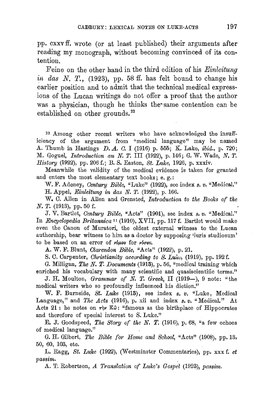pp. cxxv ff. wrote (or at least published) their arguments after reading my monograph, without becoming convinced of its contention.

Feine on the other hand in the third edition of his *Einleitung*   $in$  das  $N$ .  $T$ ., (1923), pp. 58 ff. has felt bound to change his earlier position and to admit that the technical medical expressions of the Lucan writings do not offer a proof that the author was a physician, though he thinks the same contention can be established on other grounds.<sup>23</sup>

23 Among other recent writers who have acknowledged the insufficiency of the argument from "medical language" may be named A. Thumb in Hastings *D.* A. G. I (1916) p. 555; K. Lake, *ibid.,* p. 720; M. Goguel, *Introduction au N. T.* III (1922), p. 146; G. W. Wade, N. T. *History* (1922), pp. 206 f.; B.S. Easton, *St. Luke,* 1926, p. xxxiv.

Meanwhile the validity of the medical evidence is taken for granted and enters the most elementary text books; e. g.:

W. F. Adeney, *Century Bible*, "Luke" (1922), see index *s. v.* "Medical." H. Appel, *Einleitung in das* N. *T.* (1922), p. 166.

W. C. Allen in Allen and Grensted, *Introduction to the Books of the*  N. T. (1913), pp. 50 f.

J. V. Bartlet, *Century Bible,* "Acts" (1901), see index *s. v.* "Medical." In *Encyclopedia Britannica* 11 (1910), XVII, pp. 117 f. Bartlet would make even the Canon of Muratori, the oldest external witness to the Lucan authorship, bear witness to him as a doctor by supposing 'iuris studiosum' to be based on an error of  $\nu$ *b* $\mu$ ov for  $\nu$ *bov*.

A. W. F. Blunt, *Clarendon Bible,* "Acts" (1922), p. 21.

S. C. Carpenter, *Christianity according to S. Luise*, (1919), pp. 192 f.

G. Milligan, *The* N. *T. Documents* (1913), p. 56, "medical training which enriched his vocabulary with many scientific and quasiscientific terms."

J. H. Moulton, *Grammar of N. T. Greek*, II (1919-), 9 note: "the medical writers who so profoundly influenced his diction."

W. F. Burnside, *St. Luke* (1913), see index *s. v.* "Luke, Medical Language," and *The Acts* (1916), p. xii and index *s. v.* "Medical." At Acts 21 <sup>1</sup> he notes on  $r\psi$  K $\hat{\omega}$ : "famous as the birthplace of Hippocrates and therefore of special interest to S. Luke."

E. J. Goodspeed, *The Story of the N. T.* (1916), p. 68, "a few echoes of medical language."

G. H. Gilbert, *The Bible for Home and School,* "Acts" (1908), pp. 13, 50, 60, 103, etc.

L. Ragg, *St. Luke* (1922), (Westminster Commentaries), pp. xxx f. *et passim.* 

A. T. Robertson, *A Translation of Luke's Gospel* (1923), *passim.*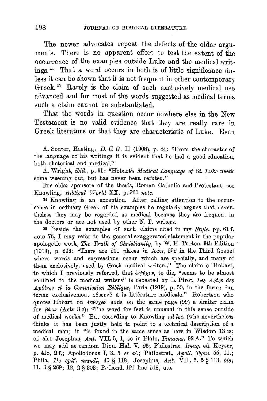The newer advocates repeat the defects of the older arguments. There is no apparent effort to test the extent of the occurrence of the examples outside Luke and the medical writings.  $24$  That a word occurs in both is of little significance unless it can be shown that it is not frequent in other contemporary Greek. 25 Rarely is the claim of such exclusively medical use advanced and for most of the words suggested as medical terms such a claim cannot be substantiated.

That the words in question occur nowhere else in the New Testament is no valid evidence that they are really rare in Greek literature or that they are characteristic of Luke. Even

A. Souter, Hastings D. C. G. II (1908), p. 84: "From the character of the language of his writings it is evident that he had a good education, both rhetorical and medical."

A. Wright, *ibid.*, p. 91: "Hobart's *Medical Language of St. Luke* needs some weeding out, but has never been refuted."

For older sponsors of the thesis, Roman Catholic and Protestant, see Knowling, *Biblical Wm·ld* XX, p. 260 *note.* 

24 Knowling is an exception. After calling attention to the occur rence in ordinary Greek of his examples he regularly argues that nevertheless they may be regarded as medical because they are frequent in the doctors or are not used by other N. T. writers.

25 Beside the examples of such claims cited in my *Style,* pp. 61 f. note 76, I may refer to the general exaggerated statement in the popular apologetic work, *The Truth of Christianity*, by W. H. Turton, 9th Edition (1919), p. 296: "There are 201 places in Acts, 252 in the Third Gospel where words and expressions occur which are specially, and many of them exclusively, used by Greek medical writers." The claim of Hobart, to which I previously referred, that  $\epsilon k\psi \nu_{\mathsf{X}}\epsilon\nu$ , to die, "seems to be almost confined to the medical writers" is repeated by L. Pirot, *Les Actes des .Apotres et la Commission Biblique,* Paris (1919), p. 50, in the form: "un terme exclusivement réservé à la littérature médicale." Robertson who quotes Hobart on  $\partial x \psi$  *extraction* adds on the same page (99) a similar claim for *fldau* (Acts 3 7): "The word for feet is unusual in this sense outside of medical works." But according to Knowling *ad loe.* (who nevertheless thinks it has been justly held to point to a technical description of a medical man) it "is found in the same sense as here in Wisdom 131s; cf. also Josephus, *Ant.* VII. 3, 1, so in Plato, *Timaeus*, 92 A." To which we may add at random Dion. Hal. V, 25; Philostrat. *Imag.* ed. Keyser, p. 418, 2 f.; Apollodorus I, 3, 5 *et al.*; Philostrat., Apoll. Tyan. 55, 11.; Philo, *De opif. mundi*, 40 § 118; Josephus, *Ant.* VII. 5. 5 § 113, *bis*; 11, 3 § 269; 12, 2 § 303; P. Loud. 121 line 518, etc.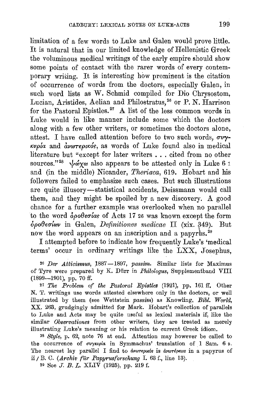limitation of a few words to Luke and Galen would prove little. It is natural that in our limited knowledge of Hellenistic Greek the voluminous medical writings of the early empire should show some points of contact with the rarer words of every contemporary writing. It is interesting how prominent is the citation of occurrence of words from the doctors, especially Galen, in such word lists as W. Schmid compiled for Dio Ohrysostom, Lucian, Aristides, Aelian and Philostratus,<sup>26</sup> or P. N. Harrison for the Pastoral Epistles.<sup>27</sup> A list of the less common words in Luke would in like manner include some which the doctors along with a few other writers, or sometimes the doctors alone, attest. I have called attention before to two such words,  $\sigma v \gamma$  $k\nu\rho/\alpha$  and  $\dot{\alpha}\nu\omega\tau\epsilon\rho\kappa\dot{\omega}s$ , as words of Luke found also in medical literature but "except for later writers ... cited from no other sources."<sup>28</sup>  $\psi \omega \chi \omega$  also appears to be attested only in Luke 6 1 and (in the middle) Nicander, *Theriaca,* 619. Hobart and his followers failed to emphasize such cases. But such illustrations are quite illusory-statistical accidents, Deissmann would call them, and they might be spoiled by a new discovery. A good chance for a further example was overlooked when no parallel to the word  $\delta\rho\omega\theta$ e $\sigma$ las of Acts 17 26 was known except the form *opoeerrlwv* in Galen, *Definitiones medicae* II (xix. 349). But now the word appears on an inscription and a papyrhs.<sup>29</sup>

I attempted before to indicate how frequently Luke's 'medical terms' occur in ordinary writings like the LXX, Josephus,

<sup>26</sup>*Der Atticismus,* 1887-1897, *passim.* Similar lists for Maxim us of Tyre were prepared by K. Diirr in *Philologus,* Supplementband VIII  $(1899-1901)$ , pp. 70 ff.

<sup>27</sup>*The Problem of the Pastoral Epistles* (1921), pp. 161 ff. Other N. T. writings use words attested elsewhere only in the doctors, or well illustrated by them (see Wettstein *passim)* as Knowling, *Bibl. Worlcl,*  XX. 263, grudgingly admitted for Mark. Hobart's collection of parallels to Luke and Acts may be quite useful as lexical materials if, like the similar *Observationes* from other writers, they are treated as merely illustrating Luke's meaning or his relation to current Greek idiom.

<sup>28</sup>*Style,* p. 62, note 76 at end. Attention may however be called to the occurrence of *συγκυρία* in Symmachus' translation of 1 Sam. 6 a. The nearest lay parallel I find to *avwreputos* is *avwrepeus* in a papyrus of ii *1* B. C. *(Archiv fur Papyrusforschung* I. 63 f., line 13).

29 See *J. B. L.* XLIV (1925), pp. 219 f.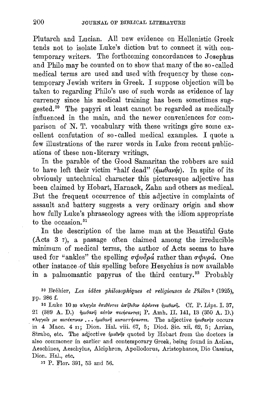Plutarch and Lucian. Ail new evidence on Hellenistic Greek tends not to isolate Luke's diction but to connect it with contemporary writers. The forthcoming concordances to Josephus and Philo may be counted on to show that many of the so-called medical terms are used and used with frequency by these contemporary Jewish writers in Greek. I suppose objection will be taken to regarding Philo's use of such words as evidence of lay currency since his medical training has been sometimes suggested.<sup>30</sup> The papyri at least cannot be regarded as medically influenced in the main, and the newer conveniences for comparison of N. T. vocabulary with these writings give some excellent confutation of so- called medical examples. I quote a few illustrations of the rarer words in Luke from recent publications of these non -literary writings.

In the parable of the Good Samaritan the robbers are said to have left their victim "half dead" ( $\hat{\eta} \mu \theta \hat{\alpha} \hat{\gamma}$ ). In spite of its obviously untechnical character this picturesque adjective has been claimed by Hobart, Harnack, Zahn and others as medical. But the frequent occurrence of this adjective in complaints of assault and battery suggests a very ordinary origin and show how fully Luke's phraseology agrees with the idiom appropriate to the occasion.<sup>31</sup>

In the description of the lame man at the Beautiful Gate (Acts 3 7), a passage often claimed among the irreducible minimum of medical terms, the author of Acts seems to have used for "ankles" the spelling  $\sigma \phi v \delta \rho \dot{a}$  rather than  $\sigma \phi v \rho \dot{a}$ . One other instance .of this spelling before Hesychius is now available in a palmomantic papyrus of the third century. 32 Probably

30 Brehier, *Les idees pkilosophiques et religieuses de Philon* 2 (1925), pp. 286 f.

<sup>31</sup> Luke 10 30  $\pi\lambda\eta\gamma$ às *emOevres amij* $\lambda\theta$ ov apevres  $\eta\mu\theta$ av $\hat{\eta}$ . Cf. P. Lips. I. 37, 21 (389 A. D.) *ήμιθανή αύτον ποιήσαντες*; P. Amh. II, 141, 13 (350 A. D.) *7TA'YJ'Ya'is* p.e *KarlKnvav* , •• *7}p.t0avfi Kara<TT?j<Tavres.* The adjective *7}p.t0av'l]s* occurs . in 4 Mace. 4 11; Dion. Hal. viii. 67, 5; Diod. Sic. xii, 62, 5; Arrian, Strabo, etc. The adjective  $\eta\mu\iota\theta\nu\hat{\eta}s$  quoted by Hobart from the doctors is also commoner in earlier and contemporary Greek, being found in Aelian, Aeschines, Aeschylus, Alciphron, Apollodorus, Aristophanes, Dio Cassius, Dion. Hal., etc.

32 P. Flor. 391, 53 and 56.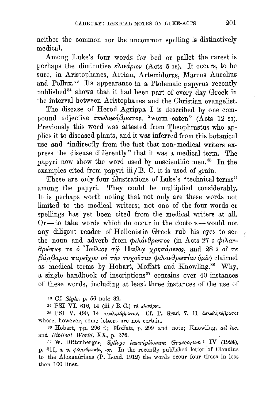neither the common nor the uncommon spelling is distinctively medical.

Among Luke's four words for bed or pallet the rarest is perhaps the diminutive  $\kappa \lambda \nu \dot{\alpha} \rho \nu \rho$  (Acts 5 15). It occurs, to be sure, in Aristophanes, Arrian, Artemidorus, Marcus Aurelius and Pollux. 33 Its appearance in a Ptolemaic papyrus recently published 34 shows that it had been part of every day Greek in the interval between Aristophanes and the Christian evangelist.

The disease of Herod Agrippa I is described by one compound adjective σκωληκόβρωτος, "worm-eaten" (Acts 12 23). Previously this word was attested from Theophrastus who applies it to diseased plants, and it was inferred from this botanical use and "indirectly from the fact that non-medical writers express the disease differently" that it was a medical term. The papyri now show the word used by unscientific men.<sup>35</sup> In the examples cited from papyri iii  $/B$ . C. it is used of grain.

These are only four illustrations of Luke's "technical terms" among the papyri. They could be multiplied considerably. It is perhaps worth noting that not only are these words not limited to the medical writers; not one of the four words or spellings has yet been cited from the medical writers at all. Or-to take words which do occur in the doctors-would not any diligent reader of Hellenistic Greek rub his eyes to see the noun and adverb from  $\phi \iota \lambda \dot{\alpha} \nu \theta \rho \omega \pi$ os (in Acts 27 s  $\phi \iota \lambda \alpha \nu$ - $\theta$ ρώπως τε ο 'Ιούλιος τω Παύλω χρησάμενος, and 28 2 οι τε  $\beta$ αρβαροι παρείχον ού την τυχούσαν φιλανθρωπίαν ήμω) claimed as medical terms by Hobart, Moffatt and Knowling.<sup>36</sup> Why, a single handbook of inscriptions<sup>37</sup> contains over 40 instances of these words, including at least three instances of the use of

33 Cf. *Style,* p. 56 note 32.

3< PSI VI. 616, 14 (iii 1 B. C.) *ra* iAwdp<a,

35 PSI V. 490, 14 σκωληκόβρωτον, Cf. P. Grad. 7, 11 άσκωληκόβρωτος where, however, some letters are not certain.

36 Hobart, pp. 296 f.; Moffatt, p. 299 and note; Knowling, *acl loc.*  and *Biblical World,* XX, p. 376.

37 W. Dittenberger, *Sylloge inscriptionum Graecarum* 3 IV (1924), p. 611, *s. v.*  $\phi$ *iλavθρωπίa*, -os. In the recently published letter of Claudius to the Alexandrians (P. Lond. 1912) the words occur four times in less than 100 lines.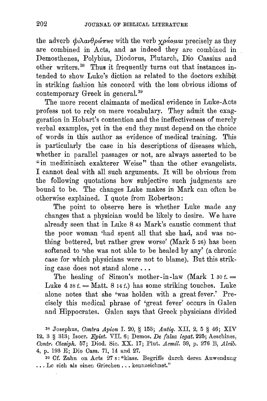the adverb  $\phi \mu \lambda a \nu \theta \rho \omega \pi \omega s$  with the verb  $\chi \rho \omega \omega a \rho$  precisely as they are combined in Acts, and as indeed they are combined in Demosthenes, Polybius, Diodorus, Plutarch, Dio Cassius and other writers. 38 Thus it frequently turns out that instances intended to show Luke's diction as related to the doctors exhibit in striking fashion his concord with the less obvious idioms of contemporary Greek in general. 39

The more recent claimants of medical evidence in Luke-Acts profess not to rely on mere vocabulary. They admit the exaggeration in Hobart's contention and the ineffectiveness of merely verbal examples, yet in the end they must depend on the choice of words in this author as evidence of medical training. This is particularly the case in his descriptions of diseases which, whether in parallel passages or not, are always asserted to be "in medizinisch exakterer Weise" than the other evangelists. I cannot deal with all such arguments. It will be obvious from the following quotations how subjective such judgments are bound to be. The changes Luke makes in Mark can often be otherwise explained. I quote from Robertson:

The point to observe here is whether Luke made any changes that a physician would be likely to desire. We have already seen that in Luke 8 43 Mark's caustic comment that the poor woman 'had spent all that she had, and was nothing bettered, but rather grew worse' (Mark 5 26) has been softened to 'she was not able to be healed by any' (a chronic case for which physicians were not to blame). But this striking case does not stand alone ...

The healing of Simon's mother-in-law (Mark 1 30 f.  $=$ Luke 4 38 f.  $=$  Matt. 8 14 f.) has some striking touches. Luke alone notes that she 'was holden with a great fever.' Precisely this medical phrase of 'great fever' occurs in Galen and Hippocrates. Galen says that Greek physicians divided

<sup>39</sup>Josephus, *Contra Apion* I. 20, § 153; *Antiq.* XII, 2, 5 § 46; XIV 12, 3 § 313; Isocr. *Epist.* VII. 6; Demos. *De falsa legat.* 225; Aeschines, *Oontr. Otesiph.* 57; Diod. Sic. XX. 17; Plut. *Aemil.* 39, p. 276 B, *Alcib.*  4, p. 193 E; Dio Cass. 71, 14 and 27.

39 Of. Zahn on Acts 27 3: "klass. Begriffe durch deren Anwendung ... Lc sich als einen Griechen ... kennzeichnet."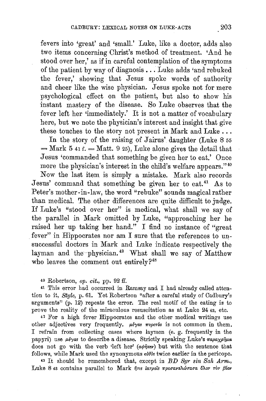fevers into 'great' and 'small.' Luke, like a doctor, adds also two items concerning Christ's method of treatment. 'And he stood over her,' as if in careful contemplation of the symptoms of the patient by way of diagnosis ... Luke adds 'and rebuked the fever,' showing that Jesus spoke words of authority and cheer like the wise physician. Jesus spoke not for mere psychological effect on the patient, but also to show his instant mastery of the disease. So Luke observes that the fever left her 'immediately.' It is not a matter of vocabulary here, but we note the physician's interest and insight that give these touches to the story not present in Mark and Luke ...

In the story of the raising of Jairus' daughter (Luke 8 55  $=$  Mark 5 41 f.  $=$  Matt. 9 25), Luke alone gives the detail that Jesus 'commanded that something be given her to eat.' Once more the physician's interest in the child's welfare appears."<sup>40</sup> Now the last item is simply a mistake. Mark also records Jesus' command that something be given her to eat. 41 As to Peter's mother-in-law, the word "rebuke" sounds magical rather than medical. The other differences are quite difficult to judge. If Luke's "stood over her" is medical, what shall we say of the parallel in Mark omitted by Luke, "approaching her he raised her up taking her hand." I find no instance of "great fever" in Hippocrates nor am I sure that the references to unsuccessful doctors in Mark and Luke indicate respectively the layman and the physician.<sup>42</sup> What shall we say of Matthew who leaves the comment out entirely?<sup>43</sup>

40 Robertson, *op. cit.,* pp. 92 ff.

41 This error had occurred in Ramsay and I had already called attention to it, *Style,* p. 61. Yet Robertson "after a careful study of Cadbury's arguments" (p. 12) repeats the error. The real motif of the eating is to prove the reality of the miraculous resuscitation as at Luke 24 43, etc.

42 For a high fever Hippocrates and the other medical writings use other adjectives very frequently.  $\mu \epsilon \gamma a s$  *ruperbs* is not common in them, I refrain from collecting cases where laymen (e. g. frequently in the papyri) use  $\mu$ *'/as* to describe a disease. Strictly speaking Luke's *Tapaxphua* does not go with the verb 'left her' (apher) but with the sentence that follows, while Mark used the synonymous  $\epsilon \partial \theta$  twice earlier in the pericope.

<sup>43</sup> It should be remembered that, except in *BD Syr sin Sah Arm.*, Luke 8 43 contains parallel to Mark *ήτιs larpo*<sup>3</sup>s προσαναλώσασα όλον τον βίον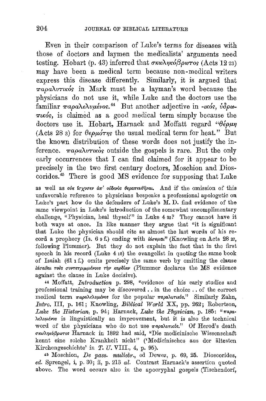Even in their comparison of Luke's terms for diseases with those of doctors and laymen the medicalists' arguments need testing. Hobart (p. 43) inferred that  $\sigma \kappa \omega \lambda \eta \kappa \delta \beta \rho \omega \tau \sigma$  (Acts 12 23) may have been a medical term because non-medical writers express this disease differently. Similarly, it is argued that  $\pi a\rho a\lambda v\tau$ *u*cos in Mark must be a layman's word because the physicians do not use it, while Luke and the doctors use the familiar  $\pi a \rho a \lambda e \lambda v \mu \epsilon v$ os.<sup>44</sup> But another adjective in - $\kappa \delta s$ , v $\delta \rho \omega$ - $\pi\kappa\omega s$ , is claimed as a good medical term simply because the doctors use it. Hobart, Harnack and Moffatt regard " $\theta \epsilon \rho \mu \eta$ (Acts 28 s) for  $\theta \epsilon \rho \mu \acute{\sigma} \tau \eta s$  the usual medical term for heat." But the known distribution of these words does not justify the inference.  $\pi a\rho a\lambda v\tau\kappa\delta s$  outside the gospels is rare. But the only early occurrences that I can find claimed for it appear to be precisely in the two first century doctors, Moschion and Dioscorides.45 There is good MS evidence for supposing that Luke

as well as oux  $\alpha_X$  *lorgieur*  $\alpha_{\pi}$ <sup>2</sup> outlease  $\theta$ *beparrev* $\theta$ *fipal*. And if the omission of this unfavorable reference to physicians bespeaks a professional apologetic on Luke's part how do the defenders of Luke's M. D. find evidence of the same viewpoint in Luke's introduction of the somewhat uncomplimentary challenge, "Physician, heal thyself" in Luke 4 23? They cannot have it both ways at once. In like manner they argue that "it is significant that Luke the physician should cite as almost the last words of his record a prophecy (Is. 6 9 f.) ending with *ldsoual*" (Knowling on Acts 28 27, following Plummer). But they do not explain the fact that in the first speech in his record (Luke 4 1s) the evangelist in quoting the same book of Isaiah (611 f.) omits precisely the same verb by omitting the clause *lásabat rods surverptutivous rip kapotav (Plummer declares the MS evidence* against the clause in Luke decisive).

44 Moffatt, *Introduction* p. 298, "evidence of his early studies and professional training may be discovered .• in the choice .. of the correct medical term *παραλελυμένοs* for the popular *παραλυτικόs.*" Similarly Zahn, *Intro.* III, p. 161; Knowling, *Biblical World XX*, pp. 262; Robertson, *Luke the Historian, p. 94; Harnack, Luke the Physician, p. 185: "Tapa-'ll.e"Avpbos* is linguistically an improvement, but it is also the technical word of the physicians who do not use  $\pi$ apaNvrunds." Of Herod's death  $\sigma$ Kw $\lambda \eta$ Kó $\beta \rho$ wros Harnack in 1892 had said, "Die medicinische Wissenschaft kennt eine solche Krankheit nicht" ('Medicinisches aus der ältesten Kirchengeschichte' in  $T. U. VIII.$ , 4, p. 95).

45 Moschion, *De pass. muUebr.,* ed Dewez, p. 69, 25. Dioscorides, *ed.* Sprengel, i, p. 30; ii, p. 213 *al.* Contrast Harnack's assertion quoted above. The word occurs also in the apocryphal gospels (Tischendorf,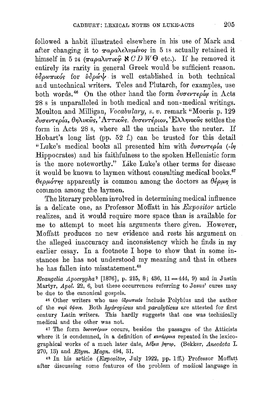followed a habit illustrated elsewhere in his use of Mark and after changing it to  $\pi \alpha \rho a \lambda \epsilon \lambda \nu \mu \epsilon \nu \sigma$  in 5 18 actually retained it himself in 5 24  $(\pi a \rho a \lambda \nu \tau \mu \hat{\varphi} \times CD \Psi \Theta$  etc.). If he removed it entirely its rarity in general Greek would be sufficient reason. *vδρωπικός* for *voρώ* $\psi$  is well established in both technical and untechnical writers. Teles and Plutarch, for examples, use both words.<sup>46</sup> On the other hand the form δυσεντερίω in Acts 28 s is unparalleled in both medical and non-medical writings. Moulton and Milligan, *Vocabulary*, s. v. remark "Moeris p. 129 *dU(J"€VT€pla, e1]AVKWS,* > *ATTLKWS. dlJ(J"€VTJpwv, CEAA1]VLKWS* settles the form in Acts 28 s, where all the uncials have the neuter. If Hobart's long list (pp. 52 f.) can be trusted for this detail "Luke's medical books all presented him with  $\partial v \sigma \epsilon \nu \tau \epsilon \rho l \alpha$  (-in Hippocrates) and his faithfulness to the spoken Hellenistic form is the more noteworthy." Like Luke's other terms for disease it would be known to laymen without consulting medical books.<sup>47</sup>  $\theta \epsilon \rho \mu' \sigma \eta s$  apparently is common among the doctors as  $\theta \epsilon' \rho \mu \eta$  is common among the laymen. .

The literary problem involved in determining medical influence is a delicate one, as Professor Moffatt in his *Expositor* article realizes, and it would require more space than is available for me to attempt to meet his arguments there given. However, Moffatt produces no new evidence and rests his argument on the alleged inaccuracy and inconsistency which he finds in my earlier essay. In a footnote I hope to show that in some instances he has not understood my meaning and that in others he has fallen into misstatement.<sup>48</sup>

*Evangelia Apocrypha*<sup>2</sup> [1876], p. 215, 8; 436, 11 = 444, 9) and in Justin Martyr, Apol. 22, 6, but these occurrences referring to Jesus' cures may be due to the canonical gospels.

46 Other writers who use  $i\delta\rho\omega\pi\mu\omega s$  include Polybius and the author of the *περl ύψουs.* Both *hydropicus* and *paralyticus* are attested for first century Latin writers. This hardly suggests that one was techrlically medical and the other was not.

47 The form Sweevrepsov occurs, besides the passages of the Atticists where it is condemned, in a definition of  $\kappa a \tau \phi \rho o \omega s$  repeated in the lexicographical works of a much later date,  $\Lambda$ ekes pyrop. (Bekker, *Anecdota* I. 270, 13) and *Etym. Magn.* 494, 31.

<sup>48</sup> In his article *(Expositor*, July 1922, pp. 1ff.) Professor Moffatt after discussing some features of the problem of medical language in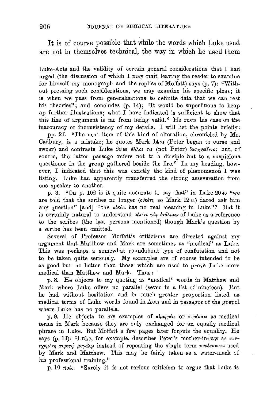It is of course possible that while the words which Luke used are not in themselves technical, the way in which he used them

Luke-Acts and the validity of certain general considerations that I had urged (the discussion of which I may omit, leaving the reader to examine for himself my monograph and the replies of Moffatt) says (p. 7): "Without pressing such considerations, we may examine his specific pleas; it is when we pass from generalisations to definite data that we can test his theories"; and concludes (p. 14); "It would be superfluous to heap up further illustrations; what  $\overrightarrow{I}$  have indicated is sufficient to show that this line of argument is far from being valid." He rests his case on the inaccuracy or inconsistency of my details. I will list the points briefly:

pp. 2f. "The next item of this kind of alteration, chronicled by Mr. Cadbury, is a mistake; he quotes Mark 14 n (Peter began to curse and swear) and contrasts Luke  $22$  59 d $\lambda \lambda$ os ros (not Peter) δισχυρίζετο; but, of course, the latter passage refers not to a disciple but to a suspicious questioner in the group gathered beside the fire." In my heading, however, I indicated that this was exactly the kind of phenomenon I was listing. Luke had apparently transferred the strong asseveration from one speaker to another.

p. 3. "On p. 102 is it quite accurate to say that" in Luke 20 40 "we are told that the scribes no longer (oixet, so Mark 12 34) dared ask him any question" [and] "the ovker has no real meaning in Luke"? But it is certainly natural to understand  $\omega_{\kappa}$ <sub>ert</sub>  $\gamma_{\alpha\rho}$   $\epsilon_{\tau}$ *to* $\lambda_{\mu\omega\nu}$  of Luke as a reference to the scribes (the last persons mentioned) though Mark's question by a scribe has been omitted.

Several of Professor Moffatt's criticisms are directed against my argument that Matthew and Mark are sometimes as "medical" as Luke. This was perhaps a somewhat roundabout type of confutation and not to be taken quite seriously. My examples are of course intended to be as good but no better than those which are used to prove Luke more medical than Matthew and Mark. Thus :

p. 8. He objects to my quoting as "medical" words in Matthew and Mark where Luke offers no parallel (seven in a list of nineteen). But he had without hesitation and in much greater proportion listed as medical terms of Luke words found in Acts and in passages of the gospel. where Luke has no parallels.

p. 9. He objects to my examples of  $a\mu\nu\rho\rho\rho\epsilon\omega$  or  $\pi\nu\rho\epsilon\sigma\sigma\omega$  as medical terms in Mark because they are only exchanged for an equally medical phrase in Luke. But Moffatt a few pages later forgets the equality. He says (p. 13): "Luke, for example, describes Peter's mother-in-law as  $\sigma v v$ - $\epsilon_X$ o $\mu \epsilon$ v $\bar{\eta}$   $\pi$ υρέτ $\bar{\omega}$  μεγάλ $\omega$  instead of repeating the single term  $\pi$ υρέσσουσα used by Mark and Matthew. 1'his may be fairly taken as a water-mark of his professional training."

p. 10 *note.* "Surely it is not serious criticism to argue that Luke is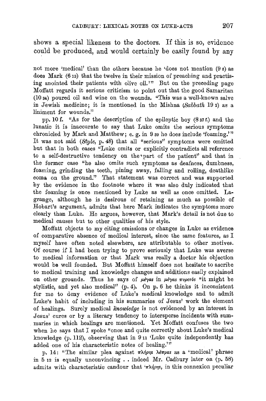shows a special likeness to the doctors. If this is so, evidence could be produced, and would certainly be easily found by any

not more 'medical' than the others because he 'does not mention (9 6) as does Mark (6 13) that the twelve in their mission of preaching and practising anointed their patients with olive oil."' But on the preceding page Moffatt regards it serious criticism to point out that the good Samaritan (10 34) poured oil and wine on the wounds. "This was a well-known salve in Jewish medicine; it is mentioned in the Mishna (Sabbath 19 2) as a liniment for wounds."

pp. 10 f. "As for the description of the epileptic boy (8 37 f.) and the lunatic it is inaccurate to say that Luke omits the serious symptoms chronicled by Mark and Matthew; e. g. in 9 39 he does include 'foaming.'" It was not said (Style, p. 48) that all "serious'' symptoms were omitted but that in both cases "Luke omits or explicitly contradicts all reference to a self-destructive tendency on the•part of the patient" and that in the former case "he also omits such symptoms as deafness, dumbness, foaming, grinding the teeth, pining away, falling and rolling, deathlike coma on the ground." That statement was correct and was supported by the evidence in the footnote where it was also duly indicated that the foaming is once mentioned by Luke as well as once omitted. Lagrange, although he is desirous of retaining as much as possible of Hobart's argument, admits that here Mark indicates the symptoms more clearly than Luke. He argues, however, that Mark's detail is not due to medical causes but to other qualities of his style.

Moffatt objects to my citing omissions or changes in Luke as evidence of comparative absence of medical interest, since the same features, as I myself have often noted elsewhere, are attributable to other motives. Of course if I had been trying to prove seriously that Luke was averse to medical information or that Mark was really a doctor his objection would be well founded. But Moffatt himself does not hesitate to ascribe to medical training and knowledge changes and additions easily explained on other grounds. Thus he says of  $\mu$ eyas in  $\mu$ eyas *πυρετόs* "it might be stylistic, and yet also medical" (p. 4). On p. 6 he thinks it inconsistent for me to deny evidence of Luke's medical knowledge and to admit Luke's habit of including in his summaries of Jesus' work the element of healings. Surely medical *linowledge* is not evidenced by an interest in Jesus' cures or by a literary tendency to intersperse incidents with summaries in which healings are mentioned. Yet Moffatt confuses the two when he says that I spoke "once and quite correctly about Luke's medical knowledge (p. 112), observing that in 9 11 'Luke quite independently has added one of his characteristic notes of healing.'"

p. 14: "The similar plea against πλήρης λέπρας as a 'medical' phrase in  $5_{12}$  is equally unconvincing . . indeed Mr. Cadbury later on  $(p. 58)$ admits with characteristic candour that  $\pi\lambda\eta\rho\eta s$ , in this connexion peculiar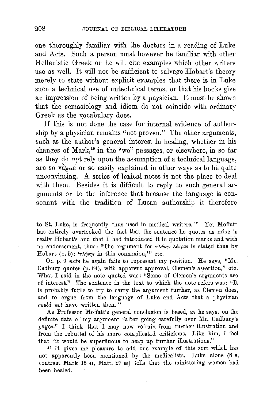one thoroughly familiar with the doctors in a reading of Luke and Acts. Such a person must however be familiar with other Hellenistic Greek or he will cite examples which other writers use as well. It will not be sufficient to salvage Hobart's theory merely to state without explicit examples that there is in Luke such a technical use of untechnical terms, or that his books give an impression of being written by a physician. It must be shown that the semasiology and idiom do not coincide with ordinary Greek as the vocabulary does.

If this is not done the case for internal evidence of authorship by a physician remains "not proven." The other arguments, such as the author's general interest in healing, whether in his changes of Mark,<sup>49</sup> in the "we" passages, or elsewhere, in so far as they do not rely upon the assumption of a technical language, are so vagaé or so easily explained in other ways as to be quite unconvincing. A series of lexical notes is not the place to deal with them. Besides it is. difficult to reply to such general arguments or to the inference that because the language is consonant with the tradition of Lucan authorship it therefore

to St. Luke, is frequently thus used in medical writers."' Yet Moffatt has entirely overlooked the fact that the sentence he quotes as mine is really Hobart's and that I had introduced it in quotation marks and with no endorsement, thus: "The argument for πλήρης λέπραs is stated thus by Hobart (p. 5): ' $\pi\lambda\eta\rho\eta$ s in this connexion,'" etc.

On p. 9 *note* he again fails to represent my position. He says, "Mr. Uadbury quotes (p. 64), with apparent approval, Clemen's assertion," etc. What I said in the note quoted was: "Some of Clemen's arguments are of interest." The sentence in the text to which the note refers was: "It is probably futile to try to carry the argument further, as Clemen does, and to argue from the language of Luke and Acts that a physician *could not* have written them.''

As Professor Moffatt's general conclusion is based, as he says, on the definite data of my argument "after going carefully over Mr. Uadbury's pages," I think that I may now refrain from further illustration and from the rebuttal of his more complicated criticisms. Like him, I feel that "it would be superfluous to heap up further illustrations."

<sup>49</sup>It gives me pleasure to add one example of this sort which has not apparently been mentioned by the medicalists. Luke alone (8 2, contrast Mark 15  $41$ , Matt. 27  $55$ ) tells that the ministering women had been healed.